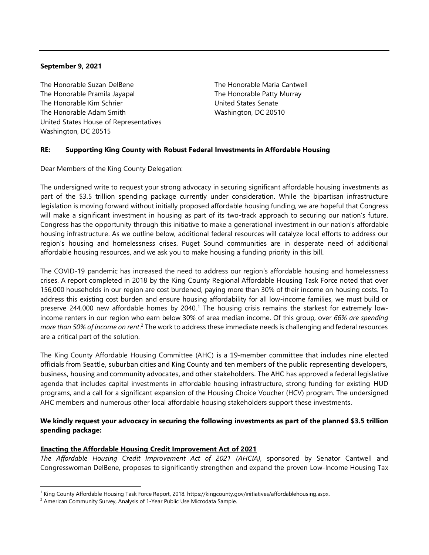#### **September 9, 2021**

The Honorable Suzan DelBene The Honorable Pramila Jayapal The Honorable Kim Schrier The Honorable Adam Smith United States House of Representatives Washington, DC 20515

The Honorable Maria Cantwell The Honorable Patty Murray United States Senate Washington, DC 20510

#### **RE: Supporting King County with Robust Federal Investments in Affordable Housing**

Dear Members of the King County Delegation:

The undersigned write to request your strong advocacy in securing significant affordable housing investments as part of the \$3.5 trillion spending package currently under consideration. While the bipartisan infrastructure legislation is moving forward without initially proposed affordable housing funding, we are hopeful that Congress will make a significant investment in housing as part of its two-track approach to securing our nation's future. Congress has the opportunity through this initiative to make a generational investment in our nation's affordable housing infrastructure. As we outline below, additional federal resources will catalyze local efforts to address our region's housing and homelessness crises. Puget Sound communities are in desperate need of additional affordable housing resources, and we ask you to make housing a funding priority in this bill.

The COVID-19 pandemic has increased the need to address our region's affordable housing and homelessness crises. A report completed in 2018 by the King County Regional Affordable Housing Task Force noted that over 156,000 households in our region are cost burdened, paying more than 30% of their income on housing costs. To address this existing cost burden and ensure housing affordability for all low-income families, we must build or preserve 244,000 new affordable homes by  $2040$ .<sup>1</sup> The housing crisis remains the starkest for extremely lowincome renters in our region who earn below 30% of area median income. Of this group, over *66% are spending more than 50% of income on rent*. <sup>2</sup> The work to address these immediate needs is challenging and federal resources are a critical part of the solution.

The King County Affordable Housing Committee (AHC) is a 19-member committee that includes nine elected officials from Seattle, suburban cities and King County and ten members of the public representing developers, business, housing and community advocates, and other stakeholders. The AHC has approved a federal legislative agenda that includes capital investments in affordable housing infrastructure, strong funding for existing HUD programs, and a call for a significant expansion of the Housing Choice Voucher (HCV) program. The undersigned AHC members and numerous other local affordable housing stakeholders support these investments.

# **We kindly request your advocacy in securing the following investments as part of the planned \$3.5 trillion spending package:**

# **Enacting the Affordable Housing Credit Improvement Act of 2021**

*The Affordable Housing Credit Improvement Act of 2021 (AHCIA),* sponsored by Senator Cantwell and Congresswoman DelBene, proposes to significantly strengthen and expand the proven Low-Income Housing Tax

 $\overline{a}$ 

<sup>1</sup> King County Affordable Housing Task Force Report, 2018. https://kingcounty.gov/initiatives/affordablehousing.aspx.

<sup>&</sup>lt;sup>2</sup> American Community Survey, Analysis of 1-Year Public Use Microdata Sample.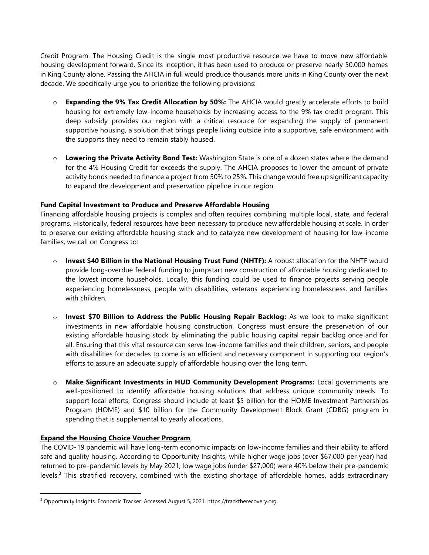Credit Program. The Housing Credit is the single most productive resource we have to move new affordable housing development forward. Since its inception, it has been used to produce or preserve nearly 50,000 homes in King County alone. Passing the AHCIA in full would produce thousands more units in King County over the next decade. We specifically urge you to prioritize the following provisions:

- o **Expanding the 9% Tax Credit Allocation by 50%:** The AHCIA would greatly accelerate efforts to build housing for extremely low-income households by increasing access to the 9% tax credit program. This deep subsidy provides our region with a critical resource for expanding the supply of permanent supportive housing, a solution that brings people living outside into a supportive, safe environment with the supports they need to remain stably housed.
- o **Lowering the Private Activity Bond Test:** Washington State is one of a dozen states where the demand for the 4% Housing Credit far exceeds the supply. The AHCIA proposes to lower the amount of private activity bonds needed to finance a project from 50% to 25%. This change would free up significant capacity to expand the development and preservation pipeline in our region.

#### **Fund Capital Investment to Produce and Preserve Affordable Housing**

Financing affordable housing projects is complex and often requires combining multiple local, state, and federal programs. Historically, federal resources have been necessary to produce new affordable housing at scale. In order to preserve our existing affordable housing stock and to catalyze new development of housing for low-income families, we call on Congress to:

- o **Invest \$40 Billion in the National Housing Trust Fund (NHTF):** A robust allocation for the NHTF would provide long-overdue federal funding to jumpstart new construction of affordable housing dedicated to the lowest income households. Locally, this funding could be used to finance projects serving people experiencing homelessness, people with disabilities, veterans experiencing homelessness, and families with children.
- o **Invest \$70 Billion to Address the Public Housing Repair Backlog:** As we look to make significant investments in new affordable housing construction, Congress must ensure the preservation of our existing affordable housing stock by eliminating the public housing capital repair backlog once and for all. Ensuring that this vital resource can serve low-income families and their children, seniors, and people with disabilities for decades to come is an efficient and necessary component in supporting our region's efforts to assure an adequate supply of affordable housing over the long term.
- o **Make Significant Investments in HUD Community Development Programs:** Local governments are well-positioned to identify affordable housing solutions that address unique community needs. To support local efforts, Congress should include at least \$5 billion for the HOME Investment Partnerships Program (HOME) and \$10 billion for the Community Development Block Grant (CDBG) program in spending that is supplemental to yearly allocations.

# **Expand the Housing Choice Voucher Program**

1

The COVID-19 pandemic will have long-term economic impacts on low-income families and their ability to afford safe and quality housing. According to Opportunity Insights, while higher wage jobs (over \$67,000 per year) had returned to pre-pandemic levels by May 2021, low wage jobs (under \$27,000) were 40% below their pre-pandemic levels.<sup>3</sup> This stratified recovery, combined with the existing shortage of affordable homes, adds extraordinary

<sup>&</sup>lt;sup>3</sup> Opportunity Insights. Economic Tracker. Accessed August 5, 2021. https://tracktherecovery.org.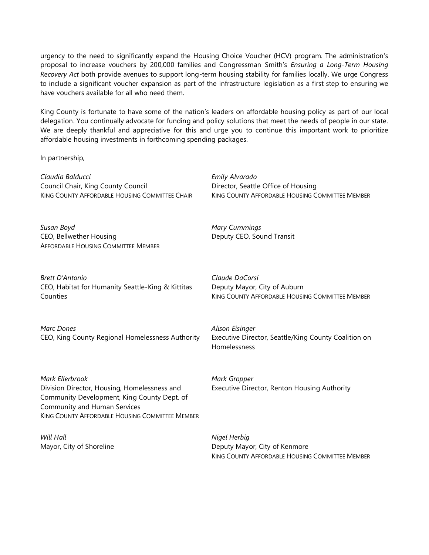urgency to the need to significantly expand the Housing Choice Voucher (HCV) program. The administration's proposal to increase vouchers by 200,000 families and Congressman Smith's *Ensuring a Long-Term Housing Recovery Act* both provide avenues to support long-term housing stability for families locally. We urge Congress to include a significant voucher expansion as part of the infrastructure legislation as a first step to ensuring we have vouchers available for all who need them.

King County is fortunate to have some of the nation's leaders on affordable housing policy as part of our local delegation. You continually advocate for funding and policy solutions that meet the needs of people in our state. We are deeply thankful and appreciative for this and urge you to continue this important work to prioritize affordable housing investments in forthcoming spending packages.

*Emily Alvarado*

*Mary Cummings*

*Mark Gropper*

Deputy CEO, Sound Transit

Director, Seattle Office of Housing

In partnership,

*Claudia Balducci* Council Chair, King County Council KING COUNTY AFFORDABLE HOUSING COMMITTEE CHAIR

*Susan Boyd* CEO, Bellwether Housing AFFORDABLE HOUSING COMMITTEE MEMBER

*Brett D'Antonio* CEO, Habitat for Humanity Seattle-King & Kittitas **Counties** 

*Marc Dones* CEO, King County Regional Homelessness Authority *Claude DaCorsi* Deputy Mayor, City of Auburn KING COUNTY AFFORDABLE HOUSING COMMITTEE MEMBER

KING COUNTY AFFORDABLE HOUSING COMMITTEE MEMBER

*Alison Eisinger* Executive Director, Seattle/King County Coalition on Homelessness

*Mark Ellerbrook* Division Director, Housing, Homelessness and Community Development, King County Dept. of Community and Human Services KING COUNTY AFFORDABLE HOUSING COMMITTEE MEMBER

*Will Hall* Mayor, City of Shoreline *Nigel Herbig* Deputy Mayor, City of Kenmore

Executive Director, Renton Housing Authority

KING COUNTY AFFORDABLE HOUSING COMMITTEE MEMBER